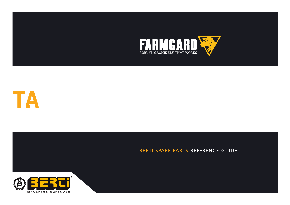



# BERTI SPARE PARTS REFERENCE GUIDE



**CATALOGUE DE PIECES DETACHEES**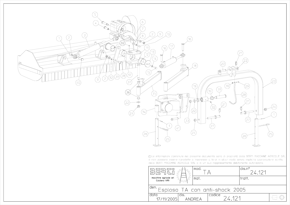

© Le informazioni contenute nel presente documento sono di proprietà della BERTI MACCHINE AGRICOLE SRL e non possono essere riprodotte o trasmesse a terzi in alcun modo senza esplicita approvazione scritta della BERTI MACCHINE AGRICOLE SRL o di un suo rappresentante debitamente autorizzato.

|                                                          |      | mod. |        |  | ∣dis.n°<br>24 121 |  |  |
|----------------------------------------------------------|------|------|--------|--|-------------------|--|--|
| macchine agricole srl<br>Caldiero (VR)                   |      | mat. |        |  | tratt.            |  |  |
| l <sup>den.</sup> Esploso TA con anti- <u>shock 2005</u> |      |      |        |  |                   |  |  |
| data<br>17/11/2005                                       | dis. |      | codice |  |                   |  |  |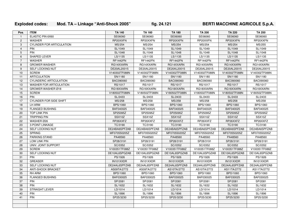### **Exploded codes: Mod. TA – Linkage "Anti-Shock 2005" fig. 24.121 BERTI MACCHINE AGRICOLE S.p.A.**

| Pos.           | <b>ITEM</b>                      | <b>TA 140</b>   | TA 160          | <b>TA 180</b>   | <b>TA 200</b>   | <b>TA 220</b>   | <b>TA 250</b>   |
|----------------|----------------------------------|-----------------|-----------------|-----------------|-----------------|-----------------|-----------------|
| $\mathbf{1}$   | ELASTIC PIN 6X60                 | SE06060         | SE06060         | SE06060         | SE06060         | SE06060         | SE06060         |
| 2              | <b>WASHER</b>                    | RP20XXFN        | RP20XXFN        | RP20XXFN        | RP20XXFN        | RP20XXFN        | RP20XXFN        |
| 3              | <b>CYLINDER FOR ARTICULATION</b> | MS/254          | MS/254          | MS/254          | MS/254          | MS/254          | MS/255          |
| $\overline{4}$ | <b>PIN</b>                       | SL/1049         | SL/1049         | SL/1049         | SL/1049         | SL/1049         | SL/1049         |
| 5              | <b>PIN</b>                       | SL/1048         | SL/1048         | SL/1048         | SL/1048         | SL/1048         | SL/1048         |
| 6              | SHAPED LEVER                     | LS/1135         | LS/1135         | LS/1135         | LS/1135         | LS/1135         | LS/1135         |
| $\overline{7}$ | <b>WASHER</b>                    | <b>RF1442FN</b> | <b>RF1442FN</b> | <b>RF1442FN</b> | <b>RF1442FN</b> | <b>RF1442FN</b> | <b>RF1442FN</b> |
| 8              | <b>GROWER WASHER</b>             | RG14XXARN       | RG14XXARN       | RG14XXARN       | RG14XXARN       | RG14XXARN       | RG14XXARN       |
| 9              | <b>SELF LOCKING NUT</b>          | DE20AL20015     | DE20AL20015     | DE20AL20015     | DE20AL20015     | DE20AL20015     | DE20AL20015     |
| 10             | <b>SCREW</b>                     | V140302TF088N   | V140302TF088N   | V140302TF088N   | V140302TF088N   | V140302TF088N   | V140302TF088N   |
| 11             | <b>ARTICULATION</b>              | SN/1180         | SN/1180         | SN/1180         | SN/1180         | SN/1180         | SN/1180         |
| 12             | <b>CYLINDERIC ARTICULATION</b>   | BAC090060       | BAC090060       | BAC090060       | BAC090060       | BAC090060       | BAC090060       |
| 13             | <b>WASHER FOR ARTICULATION</b>   | RS/1017         | RS/1017         | RS/1017         | RS/1017         | RS/1017         | RS/1017         |
| 14             | GROWER WASHER Ø18                | RG18XXARN       | RG18XXARN       | RG18XXARN       | RG18XXARN       | RG18XXARN       | RG18XXARN       |
| 15             | <b>SCREW</b>                     | V180502TF088N   | V180502TF088N   | V180502TF088N   | V180502TF088N   | V180502TF088N   | V180502TF088N   |
| 16             | PIN                              | SL/2433         | SL/2433         | SL/2433         | SL/2433         | SL/2433         | SL/2433         |
| 17             | <b>CYLINDER FOR SIDE SHIFT</b>   | MS/258          | MS/258          | MS/258          | MS/258          | MS/258          | MS/258          |
| 18             | LH ARM                           | BPS/1060        | BPS/1060        | BPS/1060        | BPS/1060        | BPS/1060        | <b>BPS/1060</b> |
| 19             | <b>FLANGED BUSHING</b>           | BAF040025       | BAF040025       | BAF040025       | BAF040025       | BAF040025       | BAF040025       |
| 20             | <b>TOP LINK PIN</b>              | SP25095Z        | SP25095Z        | SP25095Z        | SP25095Z        | SP25095Z        | SP25095Z        |
| 21             | <b>TRIPPING PIN</b>              | SSX10Z          | SSX10Z          | SSX10Z          | SSX10Z          | SSX10Z          | SSX10Z          |
| 22             | WASHER Ø26                       | RP26XXFZ        | RP26XXFZ        | RP26XXFZ        | RP26XXFZ        | RP26XXFZ        | RP26XXFZ        |
| 23             | <b>3-POINT LINKAGE</b>           | TC/3190         | TC/3190         | TC/3190         | TC/3190         | TC/3190         | TC/3190         |
| 24             | SELF LOCKING NUT                 | DE24BA6SPFZAB   | DE24BA6SPFZAB   | DE24BA6SPFZAB   | DE24BA6SPFZAB   | DE24BA6SPFZAB   | DE24BA6SPFZAB   |
| 25             | <b>SPRING</b>                    | MF070550205Z    | MF070550205Z    | MF070550205Z    | MF070550205Z    | MF070550205Z    | MF070550205Z    |
| 26             | PARKING STAND                    | PA48560         | PA48560         | PA48560         | PA48560         | PA48560         | PA48560         |
| 27             | <b>LOW LINK PIN</b>              | SP28/3191       | SP28/3191       | SP28/3191       | SP28/3191       | SP28/3191       | SP28/3191       |
| 28             | UNIV. JOINT SUPPORT              | SC/0352         | SC/0352         | SC/0352         | SC/0352         | SC/0352         | SC/0352         |
| 29             | <b>SCREW</b>                     | V100351TF088Z   | V100351TF088Z   | V100351TF088Z   | V100351TF088Z   | V100351TF088Z   | V100351TF088Z   |
| 30             | SELF LOCKING NUT                 | DE10AL6SPGZAB   | DE10AL6SPGZAB   | DE10AL6SPGZAB   | DE10AL6SPGZAB   | DE10AL6SPGZAB   | DE10AL6SPGZAB   |
| 31             | <b>PIN</b>                       | PS/1926         | PS/1926         | PS/1926         | PS/1926         | PS/1926         | PS/1926         |
| 32             | <b>GREASER</b>                   | IN101XXDR       | IN101XXDR       | IN101XXDR       | IN101XXDR       | IN101XXDR       | IN101XXDR       |
| 33             | SELF LOCKING NUT                 | DE24AL6SPFZAB   | DE24AL6SPFZAB   | DE24AL6SPFZAB   | DE24AL6SPFZAB   | DE24AL6SPFZAB   | DE24AL6SPFZAB   |
| 34             | <b>ANTI-SHOCK BRACKET</b>        | AS09TA/2772     | AS09TA/2772     | AS10TA/2772     | AS10TA/2772     | AS11TA/2772     | AS11TA/2772     |
| 35             | <b>RH ARM</b>                    | BPD/1060        | BPD/1060        | BPD/1060        | BPD/1060        | BPD/1060        | BPD/1060        |
| 36             | <b>FLANGED BUSHING</b>           | BAF030025       | BAF030025       | BAF030025       | BAF030025       | BAF030025       | BAF030025       |
| 37             | <b>PIN</b>                       | SP/2081         | SP/2081         | SP/2081         | SP/2081         | SP/2081         | SP/2081         |
| 38             | <b>PIN</b>                       | SL/1632         | SL/1632         | SL/1632         | SL/1632         | SL/1632         | SL/1632         |
| 39             | <b>STRAIGHT LEVER</b>            | LD/1014         | LD/1014         | LD/1014         | LD/1014         | LD/1014         | LD/1014         |
| 40             | <b>PIN</b>                       | SL/1896         | SL/1896         | SL/1896         | SL/1896         | SL/1896         | SL/1896         |
| 41             | <b>PIN</b>                       | SP25/3230       | SP25/3230       | SP25/3230       | SP25/3230       | SP25/3230       | SP25/3230       |
|                |                                  |                 |                 |                 |                 |                 |                 |
|                |                                  |                 |                 |                 |                 |                 |                 |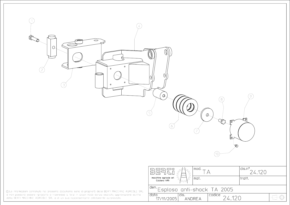

e non possono essere riprodotte o trasmesse a terzi in alcun modo senza esplicita approvazione scritta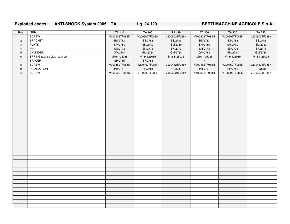### **Exploded codes: "ANTI-SHOCK System 2005" TA fig. 24.120 BERTI MACCHINE AGRICOLE S.p.A.**

| Pos.           | <b>ITEM</b>                   | <b>TA 140</b>  | <b>TA 160</b>  | <b>TA 180</b>  | <b>TA 200</b>  | <b>TA 220</b>  | <b>TA 250</b>  |
|----------------|-------------------------------|----------------|----------------|----------------|----------------|----------------|----------------|
| $\mathbf{1}$   | <b>SCREW</b>                  | V200902TF088N  | V200902TF088N  | V200902TF088N  | V200902TF088N  | V200902TF088N  | V200902TF088N  |
| $\overline{2}$ | <b>BRACKET</b>                | <b>BS/2783</b> | <b>BS/2783</b> | <b>BS/2783</b> | <b>BS/2783</b> | <b>BS/2783</b> | <b>BS/2783</b> |
| 3              | <b>PLATE</b>                  | SM/2780        | SM/2780        | SM/2780        | SM/2780        | SM/2780        | SM/2780        |
| $\overline{4}$ | PIN                           | SN/2773        | SN/2773        | SN/2773        | SN/2773        | SN/2773        | SN/2773        |
| 5              | <b>CYLINDER</b>               | GM/2784        | GM/2784        | GM/2784        | GM/2784        | GM/2784        | GM/2784        |
| 6              | SPRING (advise Qty. required) | M164125035     | M164125035     | M164125035     | M164125035     | M164125035     | M164125035     |
| $\overline{7}$ | SPACER                        | SP/2785        | SP/2785        | $\sqrt{ }$     | $\sqrt{ }$     | $\sqrt{ }$     | $\sqrt{2}$     |
| 8              | <b>SCREW</b>                  | V200452TF088N  | V200452TF088N  | V200452TF088N  | V200452TF088N  | V200452TF088N  | V200452TF088N  |
| 9              | PROTECTION                    | PR/2781        | PR/2781        | PR/2781        | PR/2781        | PR/2781        | PR/2781        |
| 10             | <b>SCREW</b>                  | V100202TF088N  | V100202TF088N  | V100202TF088N  | V100202TF088N  | V100202TF088N  | V100202TF088N  |
|                |                               |                |                |                |                |                |                |
|                |                               |                |                |                |                |                |                |
|                |                               |                |                |                |                |                |                |
|                |                               |                |                |                |                |                |                |
|                |                               |                |                |                |                |                |                |
|                |                               |                |                |                |                |                |                |
|                |                               |                |                |                |                |                |                |
|                |                               |                |                |                |                |                |                |
|                |                               |                |                |                |                |                |                |
|                |                               |                |                |                |                |                |                |
|                |                               |                |                |                |                |                |                |
|                |                               |                |                |                |                |                |                |
|                |                               |                |                |                |                |                |                |
|                |                               |                |                |                |                |                |                |
|                |                               |                |                |                |                |                |                |
|                |                               |                |                |                |                |                |                |
|                |                               |                |                |                |                |                |                |
|                |                               |                |                |                |                |                |                |
|                |                               |                |                |                |                |                |                |
|                |                               |                |                |                |                |                |                |
|                |                               |                |                |                |                |                |                |
|                |                               |                |                |                |                |                |                |
|                |                               |                |                |                |                |                |                |
|                |                               |                |                |                |                |                |                |
|                |                               |                |                |                |                |                |                |
|                |                               |                |                |                |                |                |                |
|                |                               |                |                |                |                |                |                |
|                |                               |                |                |                |                |                |                |
|                |                               |                |                |                |                |                |                |
|                |                               |                |                |                |                |                |                |
|                |                               |                |                |                |                |                |                |
|                |                               |                |                |                |                |                |                |
|                |                               |                |                |                |                |                |                |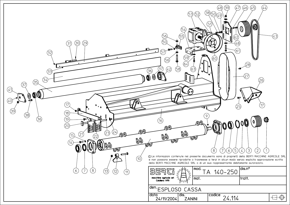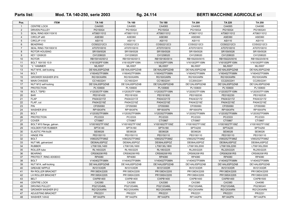# Parts list: Mod. TA 140-250, serie 2003 fig. 24.114 BERTI MACCHINE AGRICOLE srl

| Pos.           | <b>ITEM</b>                         | <b>TA 140</b>             | <b>TA 160</b>             | <b>TA 180</b>             | <b>TA 200</b>             | <b>TA 220</b>             | <b>TA 250</b>             |
|----------------|-------------------------------------|---------------------------|---------------------------|---------------------------|---------------------------|---------------------------|---------------------------|
| $\overline{1}$ | <b>CENTRE LOCK</b>                  | CA4065                    | CA4065                    | CA4065                    | CA4065                    | CA4065                    | CA4080                    |
| 2              | <b>DRIVEN PULLEY</b>                | PG150G4                   | PG150G4                   | PG150G4                   | PG150G4                   | PG150G4                   | PG180G4V                  |
| 3              | SEAL RING 60X110X10                 | AT06011012                | AT06011012                | AT06011012                | AT06011012                | AT06011012                | AT06011012                |
| $\overline{4}$ | CIRCLIP e60                         | ASE060                    | ASE060                    | ASE060                    | ASE060                    | <b>ASE060</b>             | <b>ASE060</b>             |
| 5              | CIRCLIP i110                        | ASI110                    | ASI110                    | ASI110                    | ASI110                    | ASI110                    | ASI110                    |
| 6              | <b>BEAERING</b>                     | COS02212C3                | COS02212C3                | COS02212C3                | COS02212C3                | COS02212C3                | COS02212C3                |
| $\overline{7}$ | SEAL RING 70X100X10                 | AT07010010                | AT07010010                | AT07010010                | AT07010010                | AT07010010                | AT07010010                |
| 8              | ROTOR HOUSING                       | SR159/0026                | SR159/0026                | SR159/0026                | SR159/0026                | SR159/0026                | SR159/0026                |
| 9              | <b>KEY 12X8X20</b>                  | CH1208020                 | CH1208020                 | CH1208020                 | CH1208020                 | CH1208020                 | CH1208020                 |
| 10             | <b>ROTOR</b>                        | RB159140/0012             | RB159160/0013             | RB159180/0014             | RB159200/0015             | RB159220/0016             | RB159220/0016             |
| 11             | BOLT 16X100 10.9                    | V161002PF109N             | V161002PF109N             | V161002PF109N             | V161002PF109N             | V161002PF109N             | V161002PF109N             |
| 12             | "L" HAMMER                          | ML/0007                   | ML/0007                   | ML/0007                   | ML/0007                   | ML/0007                   | ML/0007                   |
| 13             | NUT M16, slef-lcoking               | DE16AL6SPGZAB             | DE16AL6SPGZAB             | DE16AL6SPGZAB             | DE16AL6SPGZAB             | DE16AL6SPGZAB             | DE16AL6SPGZAB             |
| 14             | <b>BOLT</b>                         | V160452TF088N             | V160452TF088N             | V160452TF088N             | V160452TF088N             | V160452TF088N             | V160452TF088N             |
| 15             | GROWER WASHER Ø16                   | RG16XXARN                 | RG16XXARN                 | RG16XXARN                 | RG16XXARN                 | RG16XXARN                 | RG16XXARN                 |
| 16             | <b>MAIN CHASSIS</b>                 | CC140/2241                | CC160/2241                | CC180/2241                | CC200/2241                | CC220/2241                | CC250/2241                |
| 17             | NUT M12 self-locking                | DE12AL6SPGZAB             | DE12AL6SPGZAB             | DE12AL6SPGZAB             | DE12AL6SPGZAB             | DE12AL6SPGZAB             | DE12AL6SPGZAB             |
| 18             | <b>PROTECTION</b>                   | PL100600                  | PL100600                  | PL100600                  | PL100600                  | PL100600                  | PL100600                  |
| 19             | <b>BOLT, TSPEI</b>                  | V120353TF109N             | V120353TF109N             | V120353TF109N             | V120353TF109N             | V120353TF109N             | V120353TF109N             |
| 20             | <b>BAR</b>                          | PE0181430                 | PE0181630                 | PE0181830                 | PE0182030                 | PE0182230                 | PE0182530                 |
| 21             | <b>FLAP</b>                         | PA04/2217Z                | PA04/2217Z                | PA04/2217Z                | PA04/2217Z                | PA04/2217Z                | PA04/2217Z                |
| 22             | FLAP, cut                           | PA04/2219Z                | PA04/2219Z                | PA04/2219Z                | PA04/2219Z                | PA04/2219Z                | PA04/2219Z                |
| 23             | PIN                                 | CF050060                  | CF050060                  | CF050060                  | CF050060                  | CF050060                  | CF050060                  |
| 24             | WASHER Ø18                          | RP18XXFN                  | RP18XXFN                  | RP18XXFN                  | RP18XXFN                  | RP18XXFN                  | RP18XXFN                  |
| 25             | <b>BOLT</b>                         | V120352TF088N             | V120352TF088N             | V120352TF088N             | V120352TF088N             | V120352TF088N             | V120352TF088N             |
| 26             | <b>PROTECTION</b>                   | PC/2333                   | PC/2333                   | PC/2333                   | PC/2333                   | PC/2333                   | PC/2333                   |
| 27             | COVER                               | CT/0867                   | CT/0867                   | CT/0867                   | CT/0867                   | CT/0867                   | CT/0867                   |
| 28             | BOLT M10 flange, galvan.            | V1001602TF109Z            | V1001602TF109Z            | V1001602TF109Z            | V1001602TF109Z            | V1001602TF109Z            | V1001602TF109Z            |
| 29             | HOLDER FOR RUBBER                   | SPTA140                   | SPTA160                   | SPTA180                   | SPTA200                   | SPTA220                   | SPTA250                   |
| 30             | ELASTIC PIN 6x26                    | SE06026                   | SE06026                   | SE06026                   | SE06026                   | SE06026                   | SE06026                   |
| 31             | <b>HINGE PIN</b><br><b>BOLT</b>     | PE0150110                 | PE0150110                 | PE0150110                 | PE0150110                 | PE0150110                 | PE0150110                 |
| 32             |                                     | V060252TF088Z             | V060252TF088Z             | V060252TF088Z             | V060252TF088Z             | V060252TF088Z             | V060252TF088Z             |
| 33<br>34       | NUT M6, galvanized<br><b>RUBBER</b> | DE06AL6SPGZ               | DE06AL6SPGZ               | DE06AL6SPGZ               | DE06AL6SPGZ               | DE06AL6SPGZ               | DE06AL6SPGZ               |
|                |                                     | LT06130L1400              | LT06130L1600              | LT06130L1800              | LT06130L2000              | LT06130L2200              | LT06130L2500              |
| 35<br>36       | ROLLER tube<br><b>BEARING</b>       | RL140/2225<br>CRS062081RS | RL160/2225<br>CRS062081RS | RL180/2225<br>CRS062081RS | RL200/2225<br>CRS062081RS | RL220/2225<br>CRS062081RS | RL250/2225<br>CRS062081RS |
| 37             | PROTECT. RING 40X80X3               | RP4080                    | RP4080                    | RP4080                    | RP4080                    | RP4080                    | RP4080                    |
| 38             | <b>BOLT</b>                         | V140402TF088N             | V140402TF088N             | V140402TF088N             | V140402TF088N             | V140402TF088N             | V140402TF088N             |
| 39             | NUT M14, self-locking               | DE14AL6SPGZAB             | DE14AL6SPGZAB             | DE14AL6SPGZAB             | DE14AL6SPGZAB             | DE14AL6SPGZAB             | DE14AL6SPGZAB             |
| 40             | <b>GREASE NIPPLE</b>                | IN101XXDR                 | IN101XXDR                 | IN101XXDR                 | IN101XXDR                 | IN101XXDR                 | IN101XXDR                 |
| 41             | RH ROLLER BRACKET                   | PR139DX/2205              | PR139DX/2205              | PR139DX/2205              | PR139DX/2205              | PR139DX/2205              | PR139DX/2205              |
| 42             | LH ROLLER BRACKET                   | PR139SX/2205              | PR139SX/2205              | PR139SX/2205              | PR139SX/2205              | PR139SX/2205              | PR139SX/2205              |
| 43             | <b>BELT</b>                         | <b>CIXPB1400</b>          | <b>CIXPB1400</b>          | <b>CIXPB1400</b>          | <b>CIXPB1400</b>          | <b>CIXPB1400</b>          | <b>CIXPB1500</b>          |
| 44             | <b>CENTRE LOCK</b>                  | CA3380                    | CA3380                    | CA3380                    | CA3380                    | CA3380                    | CA4080                    |
| 45             | <b>DRIVING PULLEY</b>               | <b>PG212G4ML</b>          | <b>PG212G4ML</b>          | <b>PG212G4ML</b>          | <b>PG212G4ML</b>          | <b>PG212G4ML</b>          | PG236G4V                  |
| 46             | GROWER WASHER Ø12                   | RG12XXARN                 | RG12XXARN                 | RG12XXARN                 | RG12XXARN                 | RG12XXARN                 | RG12XXARN                 |
| 47             | ADJUSTING BRACKET                   | PR/2231                   | PR/2231                   | PR/2231                   | PR/2231                   | PR/2231                   | PR/2231                   |
| 48             | WASHER 14X42                        | <b>RF1442FN</b>           | <b>RF1442FN</b>           | <b>RF1442FN</b>           | <b>RF1442FN</b>           | <b>RF1442FN</b>           | <b>RF1442FN</b>           |
|                |                                     |                           |                           |                           |                           |                           |                           |